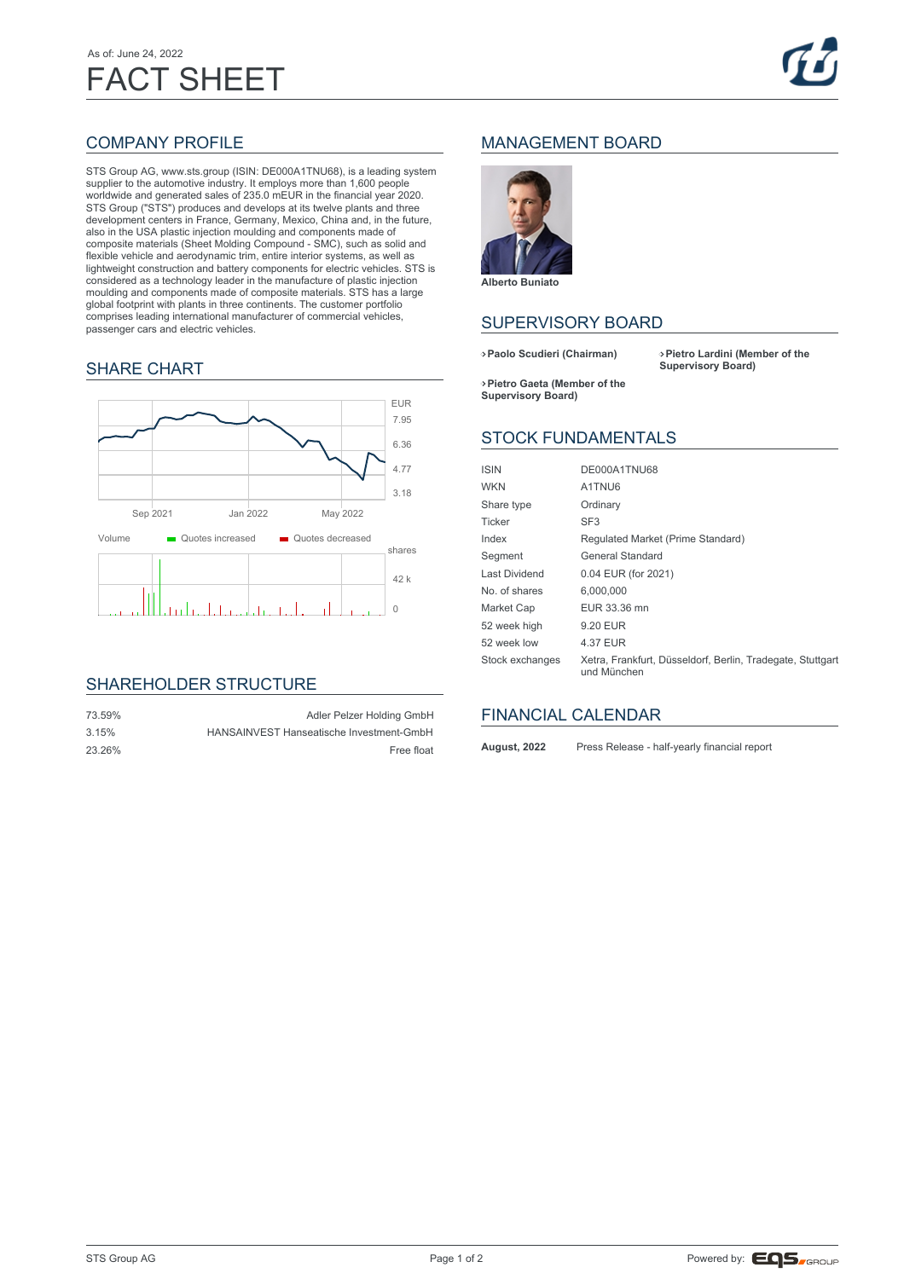# As of: June 24, 2022 FACT SHEET

## COMPANY PROFILE

STS Group AG, www.sts.group (ISIN: DE000A1TNU68), is a leading system supplier to the automotive industry. It employs more than 1,600 people worldwide and generated sales of 235.0 mEUR in the financial year 2020. STS Group ("STS") produces and develops at its twelve plants and three development centers in France, Germany, Mexico, China and, in the future, also in the USA plastic injection moulding and components made of composite materials (Sheet Molding Compound - SMC), such as solid and flexible vehicle and aerodynamic trim, entire interior systems, as well as lightweight construction and battery components for electric vehicles. STS is considered as a technology leader in the manufacture of plastic injection moulding and components made of composite materials. STS has a large global footprint with plants in three continents. The customer portfolio comprises leading international manufacturer of commercial vehicles, passenger cars and electric vehicles.

#### SHARE CHART



#### SHAREHOLDER STRUCTURE

| 73.59% | Adler Pelzer Holding GmbH                |
|--------|------------------------------------------|
| 3.15%  | HANSAINVEST Hanseatische Investment-GmbH |
| 23.26% | Free float                               |

## MANAGEMENT BOARD



## SUPERVISORY BOARD

**Paolo Scudieri (Chairman) Pietro Lardini (Member of the**

**Supervisory Board)**

**Pietro Gaeta (Member of the Supervisory Board)**

#### STOCK FUNDAMENTALS

| <b>ISIN</b>          | DE000A1TNU68                                                              |
|----------------------|---------------------------------------------------------------------------|
| <b>WKN</b>           | A1TNU6                                                                    |
| Share type           | Ordinary                                                                  |
| Ticker               | SF <sub>3</sub>                                                           |
| Index                | Regulated Market (Prime Standard)                                         |
| Segment              | General Standard                                                          |
| <b>Last Dividend</b> | 0.04 EUR (for 2021)                                                       |
| No. of shares        | 6,000,000                                                                 |
| Market Cap           | EUR 33.36 mn                                                              |
| 52 week high         | 9.20 EUR                                                                  |
| 52 week low          | 4.37 EUR                                                                  |
| Stock exchanges      | Xetra, Frankfurt, Düsseldorf, Berlin, Tradegate, Stuttgart<br>und München |

#### FINANCIAL CALENDAR

**August, 2022** Press Release - half-yearly financial report